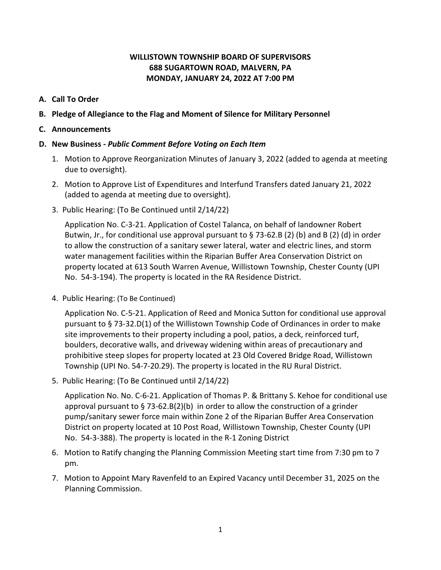## **WILLISTOWN TOWNSHIP BOARD OF SUPERVISORS 688 SUGARTOWN ROAD, MALVERN, PA MONDAY, JANUARY 24, 2022 AT 7:00 PM**

- **A. Call To Order**
- **B. Pledge of Allegiance to the Flag and Moment of Silence for Military Personnel**
- **C. Announcements**

## **D. New Business -** *Public Comment Before Voting on Each Item*

- 1. Motion to Approve Reorganization Minutes of January 3, 2022 (added to agenda at meeting due to oversight).
- 2. Motion to Approve List of Expenditures and Interfund Transfers dated January 21, 2022 (added to agenda at meeting due to oversight).
- 3. Public Hearing: (To Be Continued until 2/14/22)

Application No. C-3-21. Application of Costel Talanca, on behalf of landowner Robert Butwin, Jr., for conditional use approval pursuant to  $\S$  73-62.B (2) (b) and B (2) (d) in order to allow the construction of a sanitary sewer lateral, water and electric lines, and storm water management facilities within the Riparian Buffer Area Conservation District on property located at 613 South Warren Avenue, Willistown Township, Chester County (UPI No. 54-3-194). The property is located in the RA Residence District.

4. Public Hearing: (To Be Continued)

Application No. C-5-21. Application of Reed and Monica Sutton for conditional use approval pursuant to § 73-32.D(1) of the Willistown Township Code of Ordinances in order to make site improvements to their property including a pool, patios, a deck, reinforced turf, boulders, decorative walls, and driveway widening within areas of precautionary and prohibitive steep slopes for property located at 23 Old Covered Bridge Road, Willistown Township (UPI No. 54-7-20.29). The property is located in the RU Rural District.

5. Public Hearing: (To Be Continued until 2/14/22)

Application No. No. C-6-21. Application of Thomas P. & Brittany S. Kehoe for conditional use approval pursuant to  $\S$  73-62.B(2)(b) in order to allow the construction of a grinder pump/sanitary sewer force main within Zone 2 of the Riparian Buffer Area Conservation District on property located at 10 Post Road, Willistown Township, Chester County (UPI No. 54-3-388). The property is located in the R-1 Zoning District

- 6. Motion to Ratify changing the Planning Commission Meeting start time from 7:30 pm to 7 pm.
- 7. Motion to Appoint Mary Ravenfeld to an Expired Vacancy until December 31, 2025 on the Planning Commission.